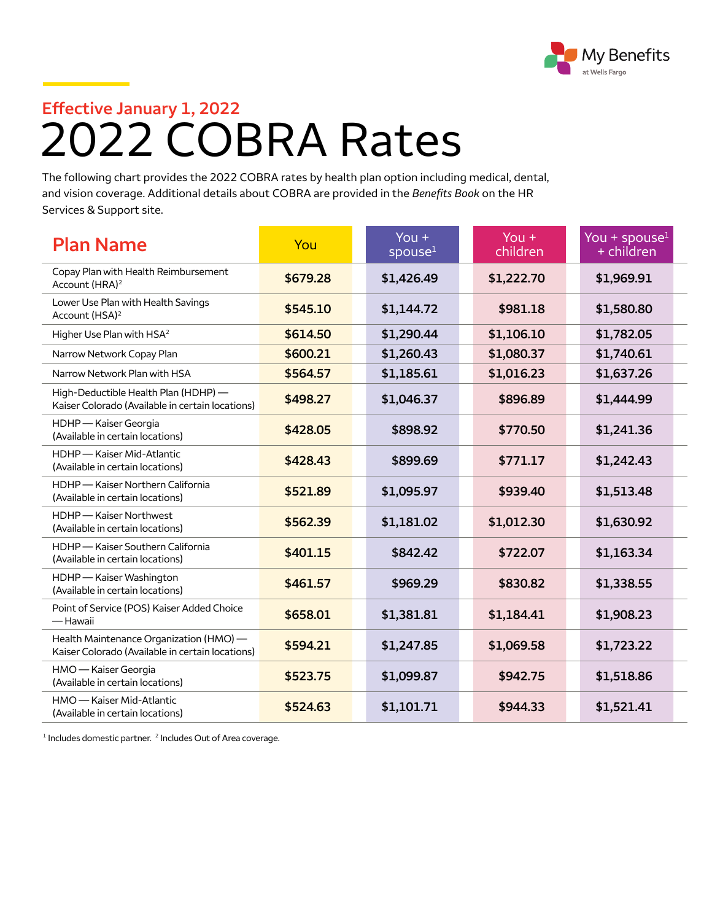

## 2022 COBRA Rates **Effective January 1, 2022**

The following chart provides the 2022 COBRA rates by health plan option including medical, dental, and vision coverage. Additional details about COBRA are provided in the *Benefits Book* on the HR Services & Support site.

| <b>Plan Name</b>                                                                            | You      | You $+$<br>spouse $1$ | You $+$<br>children | You + spouse $1$<br>+ children |
|---------------------------------------------------------------------------------------------|----------|-----------------------|---------------------|--------------------------------|
| Copay Plan with Health Reimbursement<br>Account (HRA) <sup>2</sup>                          | \$679.28 | \$1,426.49            | \$1,222.70          | \$1,969.91                     |
| Lower Use Plan with Health Savings<br>Account (HSA) <sup>2</sup>                            | \$545.10 | \$1,144.72            | \$981.18            | \$1,580.80                     |
| Higher Use Plan with HSA <sup>2</sup>                                                       | \$614.50 | \$1,290.44            | \$1,106.10          | \$1,782.05                     |
| Narrow Network Copay Plan                                                                   | \$600.21 | \$1,260.43            | \$1,080.37          | \$1,740.61                     |
| Narrow Network Plan with HSA                                                                | \$564.57 | \$1,185.61            | \$1,016.23          | \$1,637.26                     |
| High-Deductible Health Plan (HDHP) -<br>Kaiser Colorado (Available in certain locations)    | \$498.27 | \$1,046.37            | \$896.89            | \$1,444.99                     |
| HDHP - Kaiser Georgia<br>(Available in certain locations)                                   | \$428.05 | \$898.92              | \$770.50            | \$1,241.36                     |
| HDHP - Kaiser Mid-Atlantic<br>(Available in certain locations)                              | \$428.43 | \$899.69              | \$771.17            | \$1,242.43                     |
| HDHP - Kaiser Northern California<br>(Available in certain locations)                       | \$521.89 | \$1,095.97            | \$939.40            | \$1,513.48                     |
| HDHP - Kaiser Northwest<br>(Available in certain locations)                                 | \$562.39 | \$1,181.02            | \$1,012.30          | \$1,630.92                     |
| HDHP - Kaiser Southern California<br>(Available in certain locations)                       | \$401.15 | \$842.42              | \$722.07            | \$1,163.34                     |
| HDHP - Kaiser Washington<br>(Available in certain locations)                                | \$461.57 | \$969.29              | \$830.82            | \$1,338.55                     |
| Point of Service (POS) Kaiser Added Choice<br>— Hawaii                                      | \$658.01 | \$1,381.81            | \$1,184.41          | \$1,908.23                     |
| Health Maintenance Organization (HMO) -<br>Kaiser Colorado (Available in certain locations) | \$594.21 | \$1,247.85            | \$1,069.58          | \$1,723.22                     |
| HMO - Kaiser Georgia<br>(Available in certain locations)                                    | \$523.75 | \$1,099.87            | \$942.75            | \$1,518.86                     |
| HMO - Kaiser Mid-Atlantic<br>(Available in certain locations)                               | \$524.63 | \$1,101.71            | \$944.33            | \$1,521.41                     |

 $1$  Includes domestic partner.  $2$  Includes Out of Area coverage.